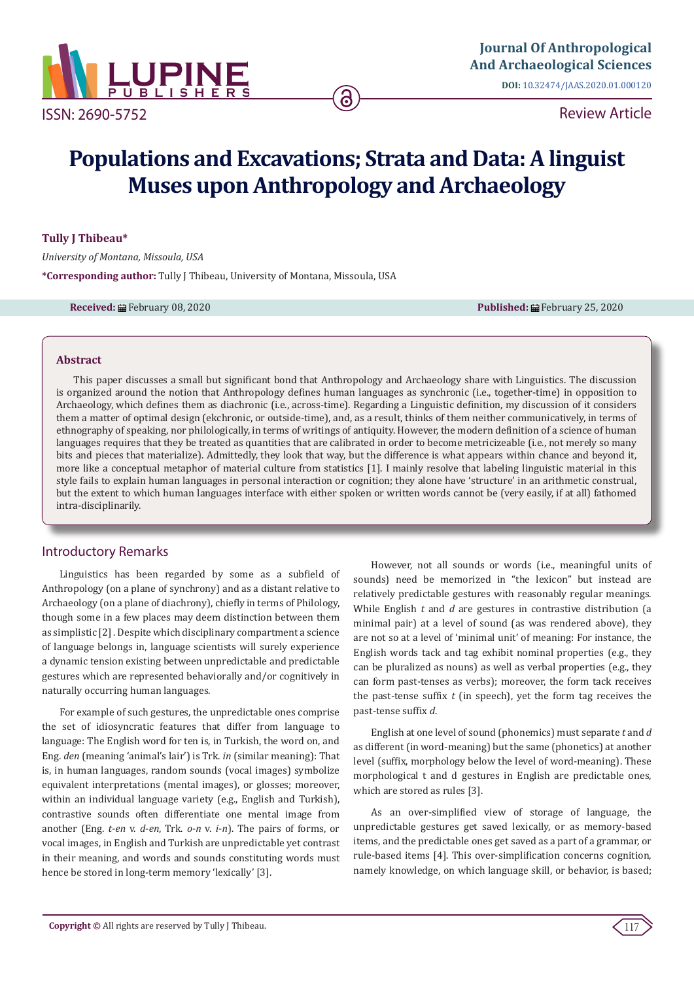

ISSN: 2690-5752

Review Article

# **Populations and Excavations; Strata and Data: A linguist Muses upon Anthropology and Archaeology**

#### **Tully J Thibeau\***

*University of Montana, Missoula, USA* **\*Corresponding author:** Tully J Thibeau, University of Montana, Missoula, USA

**Received:** February 08, 2020 **Published:** February 25, 2020

#### **Abstract**

This paper discusses a small but significant bond that Anthropology and Archaeology share with Linguistics. The discussion is organized around the notion that Anthropology defines human languages as synchronic (i.e., together-time) in opposition to Archaeology, which defines them as diachronic (i.e., across-time). Regarding a Linguistic definition, my discussion of it considers them a matter of optimal design (ekchronic, or outside-time), and, as a result, thinks of them neither communicatively, in terms of ethnography of speaking, nor philologically, in terms of writings of antiquity. However, the modern definition of a science of human languages requires that they be treated as quantities that are calibrated in order to become metricizeable (i.e., not merely so many bits and pieces that materialize). Admittedly, they look that way, but the difference is what appears within chance and beyond it, more like a conceptual metaphor of material culture from statistics [1]. I mainly resolve that labeling linguistic material in this style fails to explain human languages in personal interaction or cognition; they alone have 'structure' in an arithmetic construal, but the extent to which human languages interface with either spoken or written words cannot be (very easily, if at all) fathomed intra-disciplinarily.

# Introductory Remarks

Linguistics has been regarded by some as a subfield of Anthropology (on a plane of synchrony) and as a distant relative to Archaeology (on a plane of diachrony), chiefly in terms of Philology, though some in a few places may deem distinction between them as simplistic [2] . Despite which disciplinary compartment a science of language belongs in, language scientists will surely experience a dynamic tension existing between unpredictable and predictable gestures which are represented behaviorally and/or cognitively in naturally occurring human languages.

For example of such gestures, the unpredictable ones comprise the set of idiosyncratic features that differ from language to language: The English word for ten is, in Turkish, the word on, and Eng. *den* (meaning 'animal's lair') is Trk. *in* (similar meaning): That is, in human languages, random sounds (vocal images) symbolize equivalent interpretations (mental images), or glosses; moreover, within an individual language variety (e.g., English and Turkish), contrastive sounds often differentiate one mental image from another (Eng. *t*-*en* v. *d*-*en*, Trk. *o*-*n* v. *i*-*n*). The pairs of forms, or vocal images, in English and Turkish are unpredictable yet contrast in their meaning, and words and sounds constituting words must hence be stored in long-term memory 'lexically' [3].

However, not all sounds or words (i.e., meaningful units of sounds) need be memorized in "the lexicon" but instead are relatively predictable gestures with reasonably regular meanings. While English *t* and *d* are gestures in contrastive distribution (a minimal pair) at a level of sound (as was rendered above), they are not so at a level of 'minimal unit' of meaning: For instance, the English words tack and tag exhibit nominal properties (e.g., they can be pluralized as nouns) as well as verbal properties (e.g., they can form past-tenses as verbs); moreover, the form tack receives the past-tense suffix *t* (in speech), yet the form tag receives the past-tense suffix *d*.

English at one level of sound (phonemics) must separate *t* and *d* as different (in word-meaning) but the same (phonetics) at another level (suffix, morphology below the level of word-meaning). These morphological t and d gestures in English are predictable ones, which are stored as rules [3].

As an over-simplified view of storage of language, the unpredictable gestures get saved lexically, or as memory-based items, and the predictable ones get saved as a part of a grammar, or rule-based items [4]. This over-simplification concerns cognition, namely knowledge, on which language skill, or behavior, is based;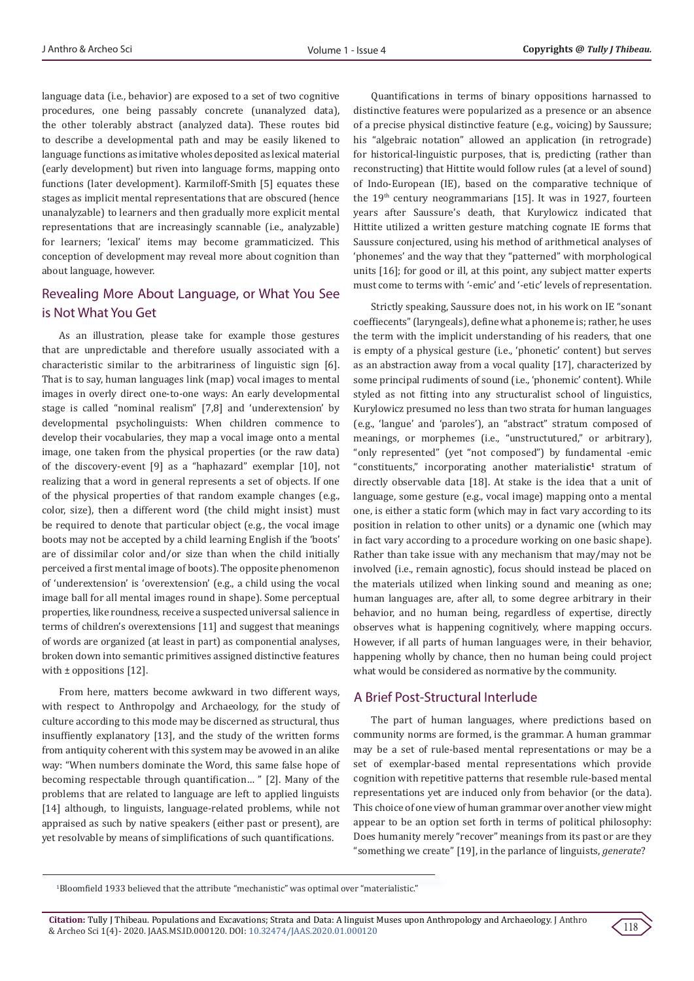language data (i.e., behavior) are exposed to a set of two cognitive procedures, one being passably concrete (unanalyzed data), the other tolerably abstract (analyzed data). These routes bid to describe a developmental path and may be easily likened to language functions as imitative wholes deposited as lexical material (early development) but riven into language forms, mapping onto functions (later development). Karmiloff-Smith [5] equates these stages as implicit mental representations that are obscured (hence unanalyzable) to learners and then gradually more explicit mental representations that are increasingly scannable (i.e., analyzable) for learners; 'lexical' items may become grammaticized. This conception of development may reveal more about cognition than about language, however.

# Revealing More About Language, or What You See is Not What You Get

As an illustration, please take for example those gestures that are unpredictable and therefore usually associated with a characteristic similar to the arbitrariness of linguistic sign [6]. That is to say, human languages link (map) vocal images to mental images in overly direct one-to-one ways: An early developmental stage is called "nominal realism" [7,8] and 'underextension' by developmental psycholinguists: When children commence to develop their vocabularies, they map a vocal image onto a mental image, one taken from the physical properties (or the raw data) of the discovery-event [9] as a "haphazard" exemplar [10], not realizing that a word in general represents a set of objects. If one of the physical properties of that random example changes (e.g., color, size), then a different word (the child might insist) must be required to denote that particular object (e.g., the vocal image boots may not be accepted by a child learning English if the 'boots' are of dissimilar color and/or size than when the child initially perceived a first mental image of boots). The opposite phenomenon of 'underextension' is 'overextension' (e.g., a child using the vocal image ball for all mental images round in shape). Some perceptual properties, like roundness, receive a suspected universal salience in terms of children's overextensions [11] and suggest that meanings of words are organized (at least in part) as componential analyses, broken down into semantic primitives assigned distinctive features with ± oppositions [12].

From here, matters become awkward in two different ways, with respect to Anthropolgy and Archaeology, for the study of culture according to this mode may be discerned as structural, thus insuffiently explanatory [13], and the study of the written forms from antiquity coherent with this system may be avowed in an alike way: "When numbers dominate the Word, this same false hope of becoming respectable through quantification… " [2]. Many of the problems that are related to language are left to applied linguists [14] although, to linguists, language-related problems, while not appraised as such by native speakers (either past or present), are yet resolvable by means of simplifications of such quantifications.

Quantifications in terms of binary oppositions harnassed to distinctive features were popularized as a presence or an absence of a precise physical distinctive feature (e.g., voicing) by Saussure; his "algebraic notation" allowed an application (in retrograde) for historical-linguistic purposes, that is, predicting (rather than reconstructing) that Hittite would follow rules (at a level of sound) of Indo-European (IE), based on the comparative technique of the  $19<sup>th</sup>$  century neogrammarians [15]. It was in 1927, fourteen years after Saussure's death, that Kurylowicz indicated that Hittite utilized a written gesture matching cognate IE forms that Saussure conjectured, using his method of arithmetical analyses of 'phonemes' and the way that they "patterned" with morphological units [16]; for good or ill, at this point, any subject matter experts must come to terms with '-emic' and '-etic' levels of representation.

Strictly speaking, Saussure does not, in his work on IE "sonant coeffiecents" (laryngeals), define what a phoneme is; rather, he uses the term with the implicit understanding of his readers, that one is empty of a physical gesture (i.e., 'phonetic' content) but serves as an abstraction away from a vocal quality [17], characterized by some principal rudiments of sound (i.e., 'phonemic' content). While styled as not fitting into any structuralist school of linguistics, Kurylowicz presumed no less than two strata for human languages (e.g., 'langue' and 'paroles'), an "abstract" stratum composed of meanings, or morphemes (i.e., "unstructutured," or arbitrary), "only represented" (yet "not composed") by fundamental -emic "constituents," incorporating another materialistic<sup>1</sup> stratum of directly observable data [18]. At stake is the idea that a unit of language, some gesture (e.g., vocal image) mapping onto a mental one, is either a static form (which may in fact vary according to its position in relation to other units) or a dynamic one (which may in fact vary according to a procedure working on one basic shape). Rather than take issue with any mechanism that may/may not be involved (i.e., remain agnostic), focus should instead be placed on the materials utilized when linking sound and meaning as one; human languages are, after all, to some degree arbitrary in their behavior, and no human being, regardless of expertise, directly observes what is happening cognitively, where mapping occurs. However, if all parts of human languages were, in their behavior, happening wholly by chance, then no human being could project what would be considered as normative by the community.

# A Brief Post-Structural Interlude

The part of human languages, where predictions based on community norms are formed, is the grammar. A human grammar may be a set of rule-based mental representations or may be a set of exemplar-based mental representations which provide cognition with repetitive patterns that resemble rule-based mental representations yet are induced only from behavior (or the data). This choice of one view of human grammar over another view might appear to be an option set forth in terms of political philosophy: Does humanity merely "recover" meanings from its past or are they "something we create" [19], in the parlance of linguists, *generate*?

1 Bloomfield 1933 believed that the attribute "mechanistic" was optimal over "materialistic."

**Citation:** Tully J Thibeau. Populations and Excavations; Strata and Data: A linguist Muses upon Anthropology and Archaeology. J Anthro Ettation: Tuny J Timbeau. Fopulations and Excavations, Strata and Data. A miguist Muses upon Antinopology and Archaeology. J Antino<br>& Archeo Sci 1(4)- 2020. JAAS.MS.ID.000120. DOI: [10.32474/JAAS.2020.01.000120](http://dx.doi.org/10.32474/JAAS.2020.01.000120)

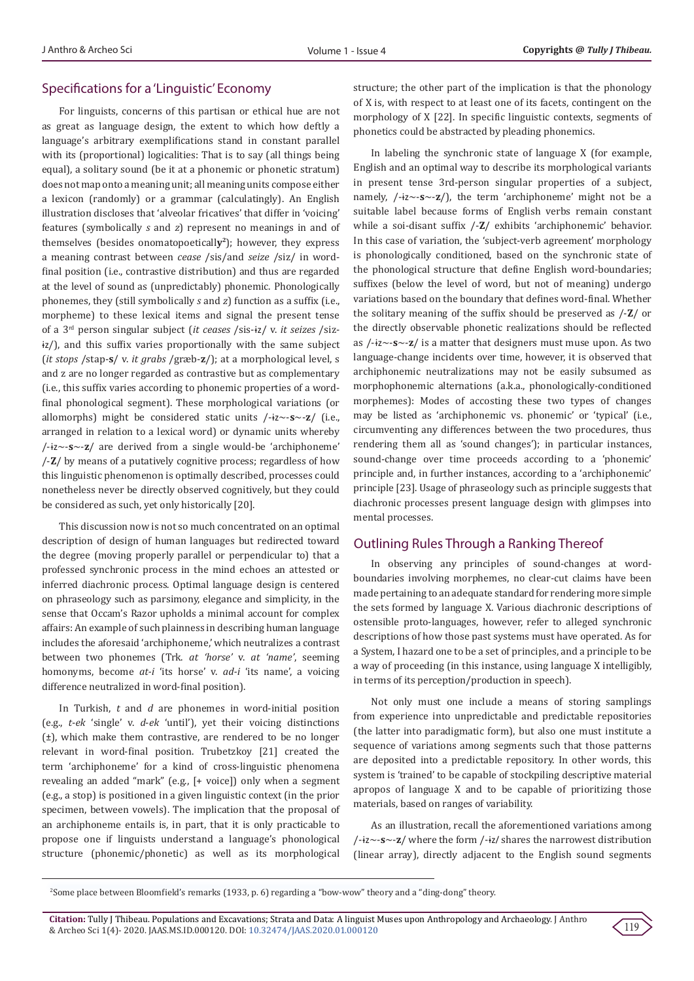## Specifications for a 'Linguistic' Economy

For linguists, concerns of this partisan or ethical hue are not as great as language design, the extent to which how deftly a language's arbitrary exemplifications stand in constant parallel with its (proportional) logicalities: That is to say (all things being equal), a solitary sound (be it at a phonemic or phonetic stratum) does not map onto a meaning unit; all meaning units compose either a lexicon (randomly) or a grammar (calculatingly). An English illustration discloses that 'alveolar fricatives' that differ in 'voicing' features (symbolically *s* and *z*) represent no meanings in and of themselves (besides onomatopoeticall**y2**); however, they express a meaning contrast between *cease* /sis/and *seize* /siz/ in wordfinal position (i.e., contrastive distribution) and thus are regarded at the level of sound as (unpredictably) phonemic. Phonologically phonemes, they (still symbolically *s* and *z*) function as a suffix (i.e., morpheme) to these lexical items and signal the present tense of a 3rd person singular subject (*it ceases* /sis-ɨz/ v. *it seizes* /sizɨz/), and this suffix varies proportionally with the same subject (*it stops* /stap-**s**/ v. *it grabs* /græb-**z**/); at a morphological level, s and z are no longer regarded as contrastive but as complementary (i.e., this suffix varies according to phonemic properties of a wordfinal phonological segment). These morphological variations (or allomorphs) might be considered static units /-ɨz~-**s**~-**z**/ (i.e., arranged in relation to a lexical word) or dynamic units whereby /-ɨz~-**s**~-**z**/ are derived from a single would-be 'archiphoneme' /-**Z**/ by means of a putatively cognitive process; regardless of how this linguistic phenomenon is optimally described, processes could nonetheless never be directly observed cognitively, but they could be considered as such, yet only historically [20].

This discussion now is not so much concentrated on an optimal description of design of human languages but redirected toward the degree (moving properly parallel or perpendicular to) that a professed synchronic process in the mind echoes an attested or inferred diachronic process. Optimal language design is centered on phraseology such as parsimony, elegance and simplicity, in the sense that Occam's Razor upholds a minimal account for complex affairs: An example of such plainness in describing human language includes the aforesaid 'archiphoneme,' which neutralizes a contrast between two phonemes (Trk. *at 'horse'* v. *at 'name'*, seeming homonyms, become *at-i* 'its horse' v. *ad-i* 'its name', a voicing difference neutralized in word-final position).

In Turkish, *t* and *d* are phonemes in word-initial position (e.g., *t*-*ek* 'single' v. *d*-*ek* 'until'), yet their voicing distinctions (±), which make them contrastive, are rendered to be no longer relevant in word-final position. Trubetzkoy [21] created the term 'archiphoneme' for a kind of cross-linguistic phenomena revealing an added "mark" (e.g., [+ voice]) only when a segment (e.g., a stop) is positioned in a given linguistic context (in the prior specimen, between vowels). The implication that the proposal of an archiphoneme entails is, in part, that it is only practicable to propose one if linguists understand a language's phonological structure (phonemic/phonetic) as well as its morphological structure; the other part of the implication is that the phonology of X is, with respect to at least one of its facets, contingent on the morphology of X [22]. In specific linguistic contexts, segments of phonetics could be abstracted by pleading phonemics.

In labeling the synchronic state of language X (for example, English and an optimal way to describe its morphological variants in present tense 3rd-person singular properties of a subject, namely, /-ɨz~-**s**~-**z**/), the term 'archiphoneme' might not be a suitable label because forms of English verbs remain constant while a soi-disant suffix /-**Z**/ exhibits 'archiphonemic' behavior. In this case of variation, the 'subject-verb agreement' morphology is phonologically conditioned, based on the synchronic state of the phonological structure that define English word-boundaries; suffixes (below the level of word, but not of meaning) undergo variations based on the boundary that defines word-final. Whether the solitary meaning of the suffix should be preserved as /-**Z**/ or the directly observable phonetic realizations should be reflected as /-ɨz~-**s**~-**z**/ is a matter that designers must muse upon. As two language-change incidents over time, however, it is observed that archiphonemic neutralizations may not be easily subsumed as morphophonemic alternations (a.k.a., phonologically-conditioned morphemes): Modes of accosting these two types of changes may be listed as 'archiphonemic vs. phonemic' or 'typical' (i.e., circumventing any differences between the two procedures, thus rendering them all as 'sound changes'); in particular instances, sound-change over time proceeds according to a 'phonemic' principle and, in further instances, according to a 'archiphonemic' principle [23]. Usage of phraseology such as principle suggests that diachronic processes present language design with glimpses into mental processes.

# Outlining Rules Through a Ranking Thereof

In observing any principles of sound-changes at wordboundaries involving morphemes, no clear-cut claims have been made pertaining to an adequate standard for rendering more simple the sets formed by language X. Various diachronic descriptions of ostensible proto-languages, however, refer to alleged synchronic descriptions of how those past systems must have operated. As for a System, I hazard one to be a set of principles, and a principle to be a way of proceeding (in this instance, using language X intelligibly, in terms of its perception/production in speech).

Not only must one include a means of storing samplings from experience into unpredictable and predictable repositories (the latter into paradigmatic form), but also one must institute a sequence of variations among segments such that those patterns are deposited into a predictable repository. In other words, this system is 'trained' to be capable of stockpiling descriptive material apropos of language X and to be capable of prioritizing those materials, based on ranges of variability.

As an illustration, recall the aforementioned variations among /-ɨz~-**s**~-**z**/ where the form /-ɨz/ shares the narrowest distribution (linear array), directly adjacent to the English sound segments



<sup>2</sup> Some place between Bloomfield's remarks (1933, p. 6) regarding a "bow-wow" theory and a "ding-dong" theory.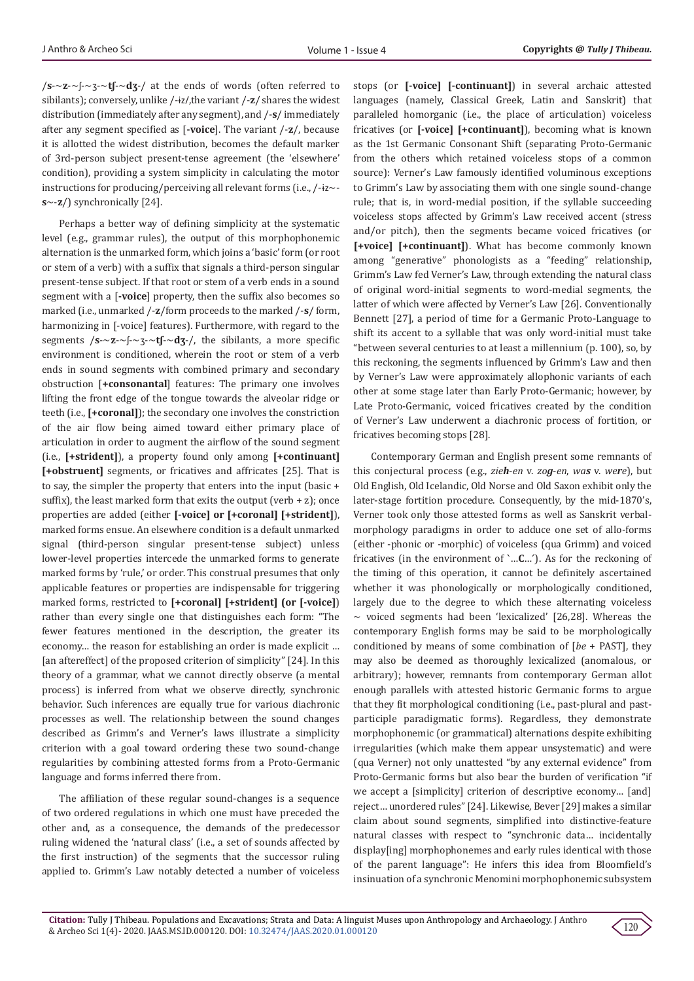/**s**-~**z**-~ʃ-~ʒ-~**tʃ**-~**dʒ**-/ at the ends of words (often referred to sibilants); conversely, unlike /-ɨz/,the variant /-**z**/ shares the widest distribution (immediately after any segment), and /-**s**/ immediately after any segment specified as [**-voice**]. The variant /-**z**/, because it is allotted the widest distribution, becomes the default marker of 3rd-person subject present-tense agreement (the 'elsewhere' condition), providing a system simplicity in calculating the motor instructions for producing/perceiving all relevant forms (i.e., /-ɨz~ **s**~-**z**/) synchronically [24].

Perhaps a better way of defining simplicity at the systematic level (e.g., grammar rules), the output of this morphophonemic alternation is the unmarked form, which joins a 'basic' form (or root or stem of a verb) with a suffix that signals a third-person singular present-tense subject. If that root or stem of a verb ends in a sound segment with a [**-voice**] property, then the suffix also becomes so marked (i.e., unmarked /-**z**/form proceeds to the marked /-**s**/ form, harmonizing in [-voice] features). Furthermore, with regard to the segments /**s**-~**z**-~ʃ-~ʒ-~**tʃ**-~**dʒ**-/, the sibilants, a more specific environment is conditioned, wherein the root or stem of a verb ends in sound segments with combined primary and secondary obstruction [**+consonantal**] features: The primary one involves lifting the front edge of the tongue towards the alveolar ridge or teeth (i.e., **[+coronal]**); the secondary one involves the constriction of the air flow being aimed toward either primary place of articulation in order to augment the airflow of the sound segment (i.e., **[+strident]**), a property found only among **[+continuant] [+obstruent]** segments, or fricatives and affricates [25]. That is to say, the simpler the property that enters into the input (basic + suffix), the least marked form that exits the output (verb  $+ z$ ); once properties are added (either **[-voice] or [+coronal] [+strident]**), marked forms ensue. An elsewhere condition is a default unmarked signal (third-person singular present-tense subject) unless lower-level properties intercede the unmarked forms to generate marked forms by 'rule,' or order. This construal presumes that only applicable features or properties are indispensable for triggering marked forms, restricted to **[+coronal] [+strident] (or [-voice]**) rather than every single one that distinguishes each form: "The fewer features mentioned in the description, the greater its economy… the reason for establishing an order is made explicit … [an aftereffect] of the proposed criterion of simplicity" [24]. In this theory of a grammar, what we cannot directly observe (a mental process) is inferred from what we observe directly, synchronic behavior. Such inferences are equally true for various diachronic processes as well. The relationship between the sound changes described as Grimm's and Verner's laws illustrate a simplicity criterion with a goal toward ordering these two sound-change regularities by combining attested forms from a Proto-Germanic language and forms inferred there from.

The affiliation of these regular sound-changes is a sequence of two ordered regulations in which one must have preceded the other and, as a consequence, the demands of the predecessor ruling widened the 'natural class' (i.e., a set of sounds affected by the first instruction) of the segments that the successor ruling applied to. Grimm's Law notably detected a number of voiceless

stops (or **[-voice] [-continuant]**) in several archaic attested languages (namely, Classical Greek, Latin and Sanskrit) that paralleled homorganic (i.e., the place of articulation) voiceless fricatives (or **[-voice] [+continuant]**), becoming what is known as the 1st Germanic Consonant Shift (separating Proto-Germanic from the others which retained voiceless stops of a common source): Verner's Law famously identified voluminous exceptions to Grimm's Law by associating them with one single sound-change rule; that is, in word-medial position, if the syllable succeeding voiceless stops affected by Grimm's Law received accent (stress and/or pitch), then the segments became voiced fricatives (or **[+voice] [+continuant]**). What has become commonly known among "generative" phonologists as a "feeding" relationship, Grimm's Law fed Verner's Law, through extending the natural class of original word-initial segments to word-medial segments, the latter of which were affected by Verner's Law [26]. Conventionally Bennett [27], a period of time for a Germanic Proto-Language to shift its accent to a syllable that was only word-initial must take "between several centuries to at least a millennium (p. 100), so, by this reckoning, the segments influenced by Grimm's Law and then by Verner's Law were approximately allophonic variants of each other at some stage later than Early Proto-Germanic; however, by Late Proto-Germanic, voiced fricatives created by the condition of Verner's Law underwent a diachronic process of fortition, or fricatives becoming stops [28].

Contemporary German and English present some remnants of this conjectural process (e.g., *zieh*-*en* v. *zog*-*en*, *was* v. *were*), but Old English, Old Icelandic, Old Norse and Old Saxon exhibit only the later-stage fortition procedure. Consequently, by the mid-1870's, Verner took only those attested forms as well as Sanskrit verbalmorphology paradigms in order to adduce one set of allo-forms (either -phonic or -morphic) of voiceless (qua Grimm) and voiced fricatives (in the environment of ˋ…**C**…ˊ). As for the reckoning of the timing of this operation, it cannot be definitely ascertained whether it was phonologically or morphologically conditioned, largely due to the degree to which these alternating voiceless  $\sim$  voiced segments had been 'lexicalized' [26,28]. Whereas the contemporary English forms may be said to be morphologically conditioned by means of some combination of [*be* + PAST], they may also be deemed as thoroughly lexicalized (anomalous, or arbitrary); however, remnants from contemporary German allot enough parallels with attested historic Germanic forms to argue that they fit morphological conditioning (i.e., past-plural and pastparticiple paradigmatic forms). Regardless, they demonstrate morphophonemic (or grammatical) alternations despite exhibiting irregularities (which make them appear unsystematic) and were (qua Verner) not only unattested "by any external evidence" from Proto-Germanic forms but also bear the burden of verification "if we accept a [simplicity] criterion of descriptive economy... [and] reject… unordered rules" [24]. Likewise, Bever [29] makes a similar claim about sound segments, simplified into distinctive-feature natural classes with respect to "synchronic data… incidentally display[ing] morphophonemes and early rules identical with those of the parent language": He infers this idea from Bloomfield's insinuation of a synchronic Menomini morphophonemic subsystem

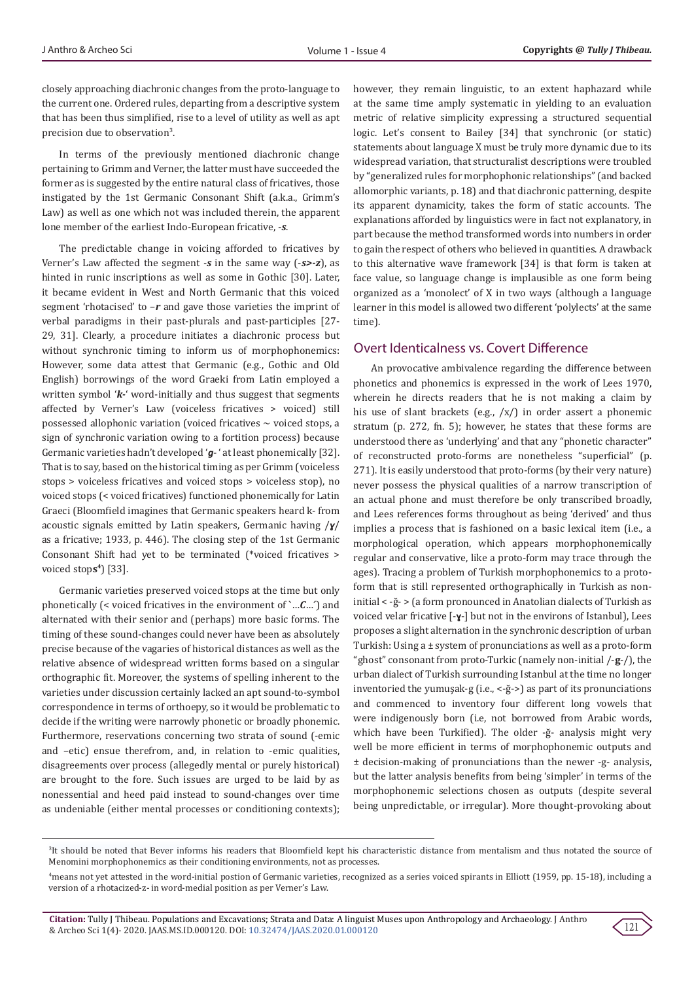closely approaching diachronic changes from the proto-language to the current one. Ordered rules, departing from a descriptive system that has been thus simplified, rise to a level of utility as well as apt precision due to observation<sup>3</sup>.

In terms of the previously mentioned diachronic change pertaining to Grimm and Verner, the latter must have succeeded the former as is suggested by the entire natural class of fricatives, those instigated by the 1st Germanic Consonant Shift (a.k.a., Grimm's Law) as well as one which not was included therein, the apparent lone member of the earliest Indo-European fricative, -*s*.

The predictable change in voicing afforded to fricatives by Verner's Law affected the segment -*s* in the same way (-*s>-z*), as hinted in runic inscriptions as well as some in Gothic [30]. Later, it became evident in West and North Germanic that this voiced segment 'rhotacised' to –*r* and gave those varieties the imprint of verbal paradigms in their past-plurals and past-participles [27- 29, 31]. Clearly, a procedure initiates a diachronic process but without synchronic timing to inform us of morphophonemics: However, some data attest that Germanic (e.g., Gothic and Old English) borrowings of the word Graeki from Latin employed a written symbol '*k-*' word-initially and thus suggest that segments affected by Verner's Law (voiceless fricatives > voiced) still possessed allophonic variation (voiced fricatives  $\sim$  voiced stops, a sign of synchronic variation owing to a fortition process) because Germanic varieties hadn't developed '*g*- ' at least phonemically [32]. That is to say, based on the historical timing as per Grimm (voiceless stops > voiceless fricatives and voiced stops > voiceless stop), no voiced stops (< voiced fricatives) functioned phonemically for Latin Graeci (Bloomfield imagines that Germanic speakers heard k- from acoustic signals emitted by Latin speakers, Germanic having /*ɣ*/ as a fricative; 1933, p. 446). The closing step of the 1st Germanic Consonant Shift had yet to be terminated (\*voiced fricatives > voiced stop**s4**) [33].

Germanic varieties preserved voiced stops at the time but only phonetically (< voiced fricatives in the environment of ˋ…*C*…ˊ) and alternated with their senior and (perhaps) more basic forms. The timing of these sound-changes could never have been as absolutely precise because of the vagaries of historical distances as well as the relative absence of widespread written forms based on a singular orthographic fit. Moreover, the systems of spelling inherent to the varieties under discussion certainly lacked an apt sound-to-symbol correspondence in terms of orthoepy, so it would be problematic to decide if the writing were narrowly phonetic or broadly phonemic. Furthermore, reservations concerning two strata of sound (-emic and –etic) ensue therefrom, and, in relation to -emic qualities, disagreements over process (allegedly mental or purely historical) are brought to the fore. Such issues are urged to be laid by as nonessential and heed paid instead to sound-changes over time as undeniable (either mental processes or conditioning contexts);

however, they remain linguistic, to an extent haphazard while at the same time amply systematic in yielding to an evaluation metric of relative simplicity expressing a structured sequential logic. Let's consent to Bailey [34] that synchronic (or static) statements about language X must be truly more dynamic due to its widespread variation, that structuralist descriptions were troubled by "generalized rules for morphophonic relationships" (and backed allomorphic variants, p. 18) and that diachronic patterning, despite its apparent dynamicity, takes the form of static accounts. The explanations afforded by linguistics were in fact not explanatory, in part because the method transformed words into numbers in order to gain the respect of others who believed in quantities. A drawback to this alternative wave framework [34] is that form is taken at face value, so language change is implausible as one form being organized as a 'monolect' of X in two ways (although a language learner in this model is allowed two different 'polylects' at the same time).

## Overt Identicalness vs. Covert Difference

An provocative ambivalence regarding the difference between phonetics and phonemics is expressed in the work of Lees 1970, wherein he directs readers that he is not making a claim by his use of slant brackets (e.g., /x/) in order assert a phonemic stratum (p. 272, fn. 5); however, he states that these forms are understood there as 'underlying' and that any "phonetic character" of reconstructed proto-forms are nonetheless "superficial" (p. 271). It is easily understood that proto-forms (by their very nature) never possess the physical qualities of a narrow transcription of an actual phone and must therefore be only transcribed broadly, and Lees references forms throughout as being 'derived' and thus implies a process that is fashioned on a basic lexical item (i.e., a morphological operation, which appears morphophonemically regular and conservative, like a proto-form may trace through the ages). Tracing a problem of Turkish morphophonemics to a protoform that is still represented orthographically in Turkish as noninitial < -ğ- > (a form pronounced in Anatolian dialects of Turkish as voiced velar fricative [-**ɣ**-] but not in the environs of Istanbul), Lees proposes a slight alternation in the synchronic description of urban Turkish: Using a ± system of pronunciations as well as a proto-form "ghost" consonant from proto-Turkic (namely non-initial /-**g**-/), the urban dialect of Turkish surrounding Istanbul at the time no longer inventoried the yumuşak-g (i.e., <-ğ->) as part of its pronunciations and commenced to inventory four different long vowels that were indigenously born (i.e, not borrowed from Arabic words, which have been Turkified). The older -ğ- analysis might very well be more efficient in terms of morphophonemic outputs and ± decision-making of pronunciations than the newer -g- analysis, but the latter analysis benefits from being 'simpler' in terms of the morphophonemic selections chosen as outputs (despite several being unpredictable, or irregular). More thought-provoking about



<sup>3</sup> It should be noted that Bever informs his readers that Bloomfield kept his characteristic distance from mentalism and thus notated the source of Menomini morphophonemics as their conditioning environments, not as processes.

<sup>4</sup> means not yet attested in the word-initial postion of Germanic varieties, recognized as a series voiced spirants in Elliott (1959, pp. 15-18), including a version of a rhotacized-z- in word-medial position as per Verner's Law.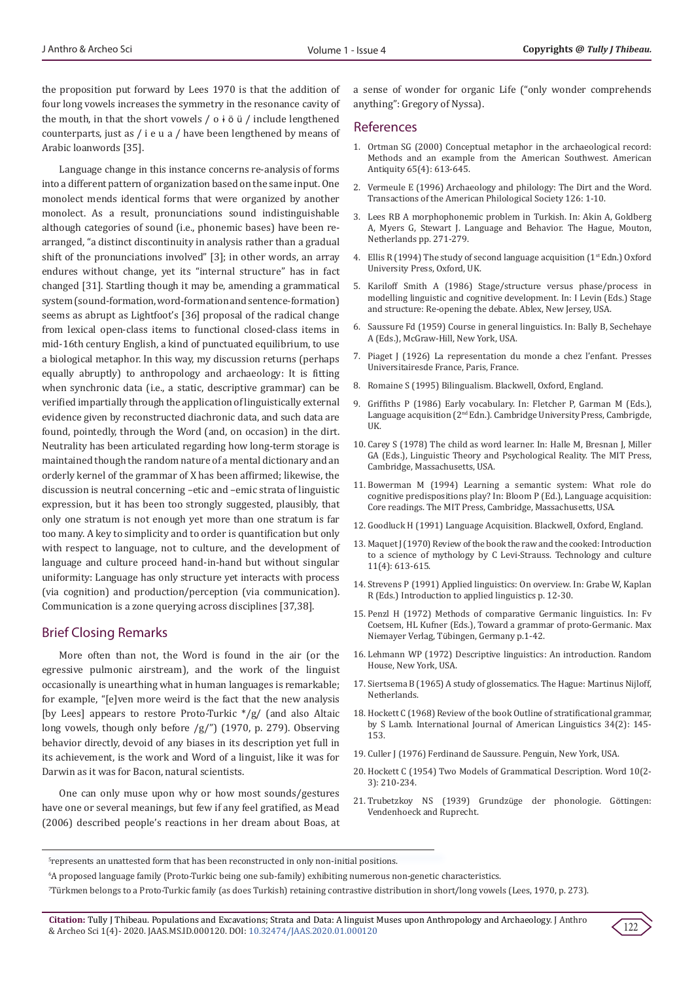the proposition put forward by Lees 1970 is that the addition of four long vowels increases the symmetry in the resonance cavity of the mouth, in that the short vowels  $/ o + \ddot{o}$  ü  $/$  include lengthened counterparts, just as / i e u a / have been lengthened by means of Arabic loanwords [35].

Language change in this instance concerns re-analysis of forms into a different pattern of organization based on the same input. One monolect mends identical forms that were organized by another monolect. As a result, pronunciations sound indistinguishable although categories of sound (i.e., phonemic bases) have been rearranged, "a distinct discontinuity in analysis rather than a gradual shift of the pronunciations involved" [3]; in other words, an array endures without change, yet its "internal structure" has in fact changed [31]. Startling though it may be, amending a grammatical system (sound-formation, word-formation and sentence-formation) seems as abrupt as Lightfoot's [36] proposal of the radical change from lexical open-class items to functional closed-class items in mid-16th century English, a kind of punctuated equilibrium, to use a biological metaphor. In this way, my discussion returns (perhaps equally abruptly) to anthropology and archaeology: It is fitting when synchronic data (i.e., a static, descriptive grammar) can be verified impartially through the application of linguistically external evidence given by reconstructed diachronic data, and such data are found, pointedly, through the Word (and, on occasion) in the dirt. Neutrality has been articulated regarding how long-term storage is maintained though the random nature of a mental dictionary and an orderly kernel of the grammar of X has been affirmed; likewise, the discussion is neutral concerning –etic and –emic strata of linguistic expression, but it has been too strongly suggested, plausibly, that only one stratum is not enough yet more than one stratum is far too many. A key to simplicity and to order is quantification but only with respect to language, not to culture, and the development of language and culture proceed hand-in-hand but without singular uniformity: Language has only structure yet interacts with process (via cognition) and production/perception (via communication). Communication is a zone querying across disciplines [37,38].

#### Brief Closing Remarks

More often than not, the Word is found in the air (or the egressive pulmonic airstream), and the work of the linguist occasionally is unearthing what in human languages is remarkable; for example, "[e]ven more weird is the fact that the new analysis [by Lees] appears to restore Proto-Turkic \*/g/ (and also Altaic long vowels, though only before /g/") (1970, p. 279). Observing behavior directly, devoid of any biases in its description yet full in its achievement, is the work and Word of a linguist, like it was for Darwin as it was for Bacon, natural scientists.

One can only muse upon why or how most sounds/gestures have one or several meanings, but few if any feel gratified, as Mead (2006) described people's reactions in her dream about Boas, at a sense of wonder for organic Life ("only wonder comprehends anything": Gregory of Nyssa).

#### References

- 1. [Ortman SG \(2000\) Conceptual metaphor in the archaeological record:](https://www.cambridge.org/core/journals/american-antiquity/article/conceptual-metaphor-in-the-archaeological-record-methods-and-an-example-from-the-american-southwest/84576FD81404D6958B283BE888B6DDB8) [Methods and an example from the American Southwest. American](https://www.cambridge.org/core/journals/american-antiquity/article/conceptual-metaphor-in-the-archaeological-record-methods-and-an-example-from-the-american-southwest/84576FD81404D6958B283BE888B6DDB8) [Antiquity 65\(4\): 613-645.](https://www.cambridge.org/core/journals/american-antiquity/article/conceptual-metaphor-in-the-archaeological-record-methods-and-an-example-from-the-american-southwest/84576FD81404D6958B283BE888B6DDB8)
- 2. [Vermeule E \(1996\) Archaeology and philology: The Dirt and the Word.](https://www.jstor.org/stable/370169?seq=1) [Transactions of the American Philological Society 126: 1-10.](https://www.jstor.org/stable/370169?seq=1)
- 3. Lees RB A morphophonemic problem in Turkish. In: Akin A, Goldberg A, Myers G, Stewart J. Language and Behavior. The Hague, Mouton, Netherlands pp. 271-279.
- 4. Ellis R (1994) The study of second language acquisition ( $1<sup>st</sup>$  Edn.) Oxford University Press, Oxford, UK.
- 5. Kariloff Smith A (1986) Stage/structure versus phase/process in modelling linguistic and cognitive development. In: I Levin (Eds.) Stage and structure: Re-opening the debate. Ablex, New Jersey, USA.
- 6. Saussure Fd (1959) Course in general linguistics. In: Bally B, Sechehaye A (Eds.), McGraw-Hill, New York, USA.
- 7. [Piaget J \(1926\) La representation du monde a chez l'enfant. Presses](https://www.worldcat.org/title/representation-du-monde-chez-lenfant/oclc/489731654) [Universitairesde France, Paris, France.](https://www.worldcat.org/title/representation-du-monde-chez-lenfant/oclc/489731654)
- 8. [Romaine S \(1995\) Bilingualism. Blackwell, Oxford, England.](https://www.wiley.com/en-us/Bilingualism%2C+2nd+Edition-p-9780631195399)
- 9. Griffiths P (1986) Early vocabulary. In: Fletcher P, Garman M (Eds.), Language acquisition (2<sup>nd</sup> Edn.). Cambridge University Press, Cambrigde, UK.
- 10. Carey S (1978) The child as word learner. In: Halle M, Bresnan J, Miller GA (Eds.), Linguistic Theory and Psychological Reality. The MIT Press, Cambridge, Massachusetts, USA.
- 11. Bowerman M (1994) Learning a semantic system: What role do cognitive predispositions play? In: Bloom P (Ed.), Language acquisition: Core readings. The MIT Press, Cambridge, Massachusetts, USA.
- 12. Goodluck H (1991) Language Acquisition. Blackwell, Oxford, England.
- 13. Maquet J (1970) Review of the book the raw and the cooked: Introduction to a science of mythology by C Levi-Strauss. Technology and culture 11(4): 613-615.
- 14. Strevens P (1991) Applied linguistics: On overview. In: Grabe W, Kaplan R (Eds.) Introduction to applied linguistics p. 12-30.
- 15. Penzl H (1972) Methods of comparative Germanic linguistics. In: Fv Coetsem, HL Kufner (Eds.), Toward a grammar of proto-Germanic. Max Niemayer Verlag, Tübingen, Germany p.1-42.
- 16. Lehmann WP (1972) Descriptive linguistics: An introduction. Random House, New York, USA.
- 17. Siertsema B (1965) A study of glossematics. The Hague: Martinus Nijloff, Netherlands.
- 18. [Hockett C \(1968\) Review of the book Outline of stratificational grammar,](https://www.journals.uchicago.edu/doi/abs/10.1086/465007?mobileUi=0) [by S Lamb. International Journal of American Linguistics 34\(2\): 145-](https://www.journals.uchicago.edu/doi/abs/10.1086/465007?mobileUi=0) [153.](https://www.journals.uchicago.edu/doi/abs/10.1086/465007?mobileUi=0)
- 19. [Culler J \(1976\) Ferdinand de Saussure. Penguin, New York, USA.](https://www.worldcat.org/title/ferdinand-de-saussure/oclc/2346191)
- 20. [Hockett C \(1954\) Two Models of Grammatical Description. Word 10\(2-](https://www.tandfonline.com/doi/abs/10.1080/00437956.1954.11659524) [3\): 210-234.](https://www.tandfonline.com/doi/abs/10.1080/00437956.1954.11659524)
- 21. [Trubetzkoy NS \(1939\) Grundz](https://www.worldcat.org/title/grundzuge-der-phonologie/oclc/3139718)üge der phonologie. Göttingen: [Vendenhoeck and Ruprecht.](https://www.worldcat.org/title/grundzuge-der-phonologie/oclc/3139718)

**Citation:** Tully J Thibeau. Populations and Excavations; Strata and Data: A linguist Muses upon Anthropology and Archaeology. J Anthro Ettation: Tuny J Timbeau. Fopulations and Excavations, Strata and Data. A miguist muses upon Antinopology and Archaeology. J Antino<br>& Archeo Sci 1(4)- 2020. JAAS.MS.ID.000120. DOI: [10.32474/JAAS.2020.01.000120](http://dx.doi.org/10.32474/JAAS.2020.01.000120)



<sup>5</sup> represents an unattested form that has been reconstructed in only non-initial positions.

<sup>6</sup> A proposed language family (Proto-Turkic being one sub-family) exhibiting numerous non-genetic characteristics.

<sup>7</sup> Türkmen belongs to a Proto-Turkic family (as does Turkish) retaining contrastive distribution in short/long vowels (Lees, 1970, p. 273).